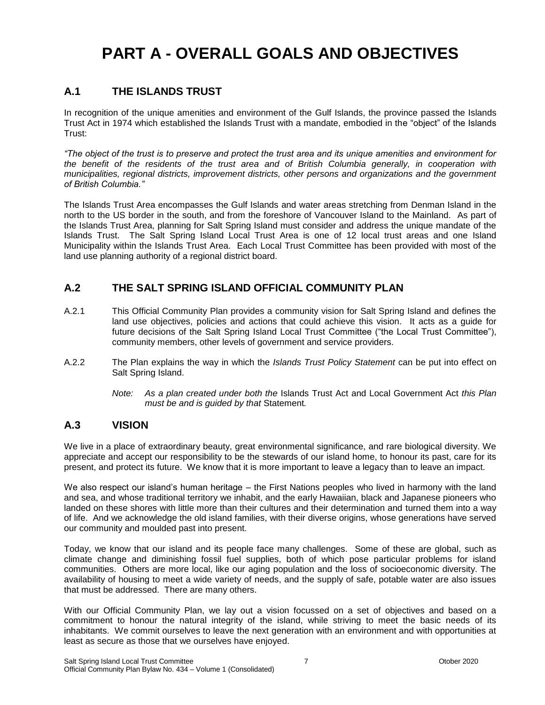## **PART A - OVERALL GOALS AND OBJECTIVES**

## **A.1 THE ISLANDS TRUST**

In recognition of the unique amenities and environment of the Gulf Islands, the province passed the Islands Trust Act in 1974 which established the Islands Trust with a mandate, embodied in the "object" of the Islands Trust:

*"The object of the trust is to preserve and protect the trust area and its unique amenities and environment for the benefit of the residents of the trust area and of British Columbia generally, in cooperation with municipalities, regional districts, improvement districts, other persons and organizations and the government of British Columbia."*

The Islands Trust Area encompasses the Gulf Islands and water areas stretching from Denman Island in the north to the US border in the south, and from the foreshore of Vancouver Island to the Mainland. As part of the Islands Trust Area, planning for Salt Spring Island must consider and address the unique mandate of the Islands Trust. The Salt Spring Island Local Trust Area is one of 12 local trust areas and one Island Municipality within the Islands Trust Area. Each Local Trust Committee has been provided with most of the land use planning authority of a regional district board.

## **A.2 THE SALT SPRING ISLAND OFFICIAL COMMUNITY PLAN**

- A.2.1 This Official Community Plan provides a community vision for Salt Spring Island and defines the land use objectives, policies and actions that could achieve this vision. It acts as a guide for future decisions of the Salt Spring Island Local Trust Committee ("the Local Trust Committee"), community members, other levels of government and service providers.
- A.2.2 The Plan explains the way in which the *Islands Trust Policy Statement* can be put into effect on Salt Spring Island.
	- *Note: As a plan created under both the* Islands Trust Act and Local Government Act *this Plan must be and is guided by that* Statement*.*

## **A.3 VISION**

We live in a place of extraordinary beauty, great environmental significance, and rare biological diversity. We appreciate and accept our responsibility to be the stewards of our island home, to honour its past, care for its present, and protect its future. We know that it is more important to leave a legacy than to leave an impact.

We also respect our island's human heritage – the First Nations peoples who lived in harmony with the land and sea, and whose traditional territory we inhabit, and the early Hawaiian, black and Japanese pioneers who landed on these shores with little more than their cultures and their determination and turned them into a way of life. And we acknowledge the old island families, with their diverse origins, whose generations have served our community and moulded past into present.

Today, we know that our island and its people face many challenges. Some of these are global, such as climate change and diminishing fossil fuel supplies, both of which pose particular problems for island communities. Others are more local, like our aging population and the loss of socioeconomic diversity. The availability of housing to meet a wide variety of needs, and the supply of safe, potable water are also issues that must be addressed. There are many others.

With our Official Community Plan, we lay out a vision focussed on a set of objectives and based on a commitment to honour the natural integrity of the island, while striving to meet the basic needs of its inhabitants. We commit ourselves to leave the next generation with an environment and with opportunities at least as secure as those that we ourselves have enjoyed.